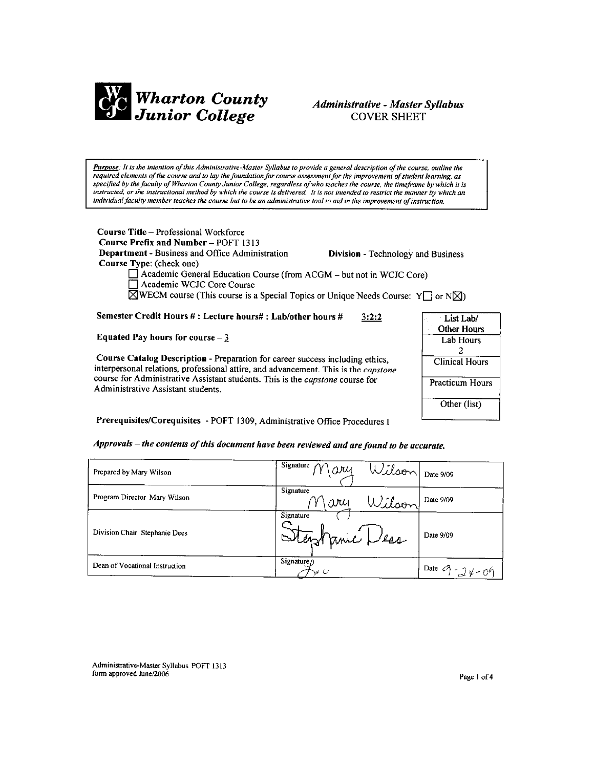

# Administrative - Master Syllabus **COVER SHEET**

Purpose: It is the intention of this Administrative-Master Syllabus to provide a general description of the course, outline the required elements of the course and to lay the foundation for course assessment for the improvement of student learning, as specified by the faculty of Wharton County Junior College, regardless of who teaches the course, the timeframe by which it is instructed, or the instructional method by which the course is delivered. It is not intended to restrict the manner by which an individual faculty member teaches the course but to be an administrative tool to aid in the improvement of instruction.

Course Title - Professional Workforce Course Prefix and Number - POFT 1313 Department - Business and Office Administration **Division - Technology and Business** Course Type: (check one)  $\Box$  Academic General Education Course (from ACGM  $-$  but not in WCJC Core)

Academic WCJC Core Course

 $\boxtimes$ WECM course (This course is a Special Topics or Unique Needs Course: Y or N $\boxtimes$ )

Semester Credit Hours #: Lecture hours#: Lab/other hours #  $3:2:2$ 

Equated Pay hours for course  $-3$ 

Course Catalog Description - Preparation for career success including ethics, interpersonal relations, professional attire, and advancement. This is the capstone course for Administrative Assistant students. This is the capstone course for Administrative Assistant students.



Prerequisites/Corequisites - POFT 1309, Administrative Office Procedures I

# Approvals – the contents of this document have been reviewed and are found to be accurate.

| Prepared by Mary Wilson        | Signature $\gamma$<br>Wilson Date 9/09<br>ary |                    |
|--------------------------------|-----------------------------------------------|--------------------|
| Program Director Mary Wilson   | Signature<br>Wilson<br>ary                    | Date 9/09          |
| Division Chair Stephanie Dees  | Signature<br>Stephanic Les                    | Date 9/09          |
| Dean of Vocational Instruction | Signature $\rho$<br>va U                      | Date $9 - 24 - 09$ |

Administrative-Master Syllabus POFT 1313 form approved June/2006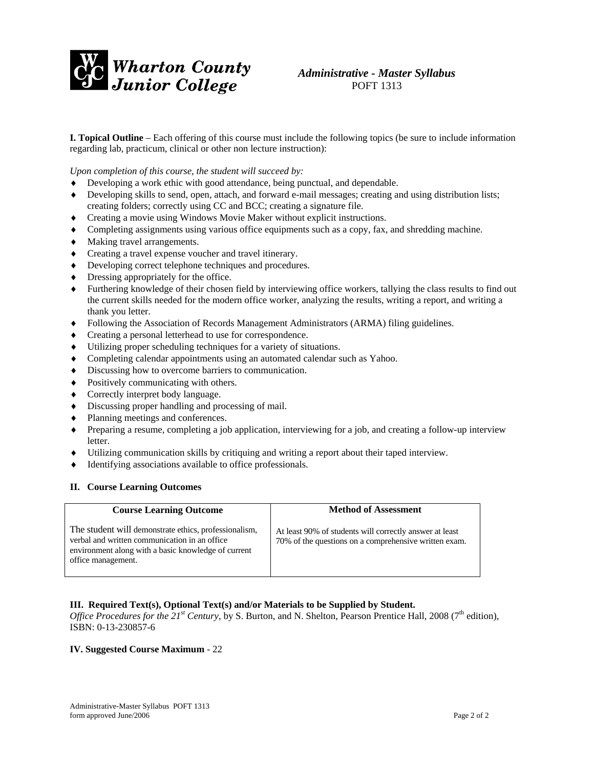

# *Administrative - Master Syllabus*  POFT 1313

**I. Topical Outline** – Each offering of this course must include the following topics (be sure to include information regarding lab, practicum, clinical or other non lecture instruction):

*Upon completion of this course, the student will succeed by:* 

- Developing a work ethic with good attendance, being punctual, and dependable.
- ♦ Developing skills to send, open, attach, and forward e-mail messages; creating and using distribution lists; creating folders; correctly using CC and BCC; creating a signature file.
- ♦ Creating a movie using Windows Movie Maker without explicit instructions.
- ♦ Completing assignments using various office equipments such as a copy, fax, and shredding machine.
- ♦ Making travel arrangements.
- ♦ Creating a travel expense voucher and travel itinerary.
- ♦ Developing correct telephone techniques and procedures.
- ♦ Dressing appropriately for the office.
- ♦ Furthering knowledge of their chosen field by interviewing office workers, tallying the class results to find out the current skills needed for the modern office worker, analyzing the results, writing a report, and writing a thank you letter.
- ♦ Following the Association of Records Management Administrators (ARMA) filing guidelines.
- ♦ Creating a personal letterhead to use for correspondence.
- ♦ Utilizing proper scheduling techniques for a variety of situations.
- ♦ Completing calendar appointments using an automated calendar such as Yahoo.
- ♦ Discussing how to overcome barriers to communication.
- ♦ Positively communicating with others.
- ♦ Correctly interpret body language.
- ♦ Discussing proper handling and processing of mail.
- ♦ Planning meetings and conferences.
- ♦ Preparing a resume, completing a job application, interviewing for a job, and creating a follow-up interview letter.
- Utilizing communication skills by critiquing and writing a report about their taped interview.
- ♦ Identifying associations available to office professionals.

#### **II. Course Learning Outcomes**

| <b>Course Learning Outcome</b>                                                                                                                                                      | <b>Method of Assessment</b>                                                                                      |
|-------------------------------------------------------------------------------------------------------------------------------------------------------------------------------------|------------------------------------------------------------------------------------------------------------------|
| The student will demonstrate ethics, professionalism,<br>verbal and written communication in an office<br>environment along with a basic knowledge of current<br>office management. | At least 90% of students will correctly answer at least<br>70% of the questions on a comprehensive written exam. |

### **III. Required Text(s), Optional Text(s) and/or Materials to be Supplied by Student.**

*Office Procedures for the 21<sup>st</sup> Century*, by S. Burton, and N. Shelton, Pearson Prentice Hall, 2008 (7<sup>th</sup> edition), ISBN: 0-13-230857-6

## **IV. Suggested Course Maximum** - 22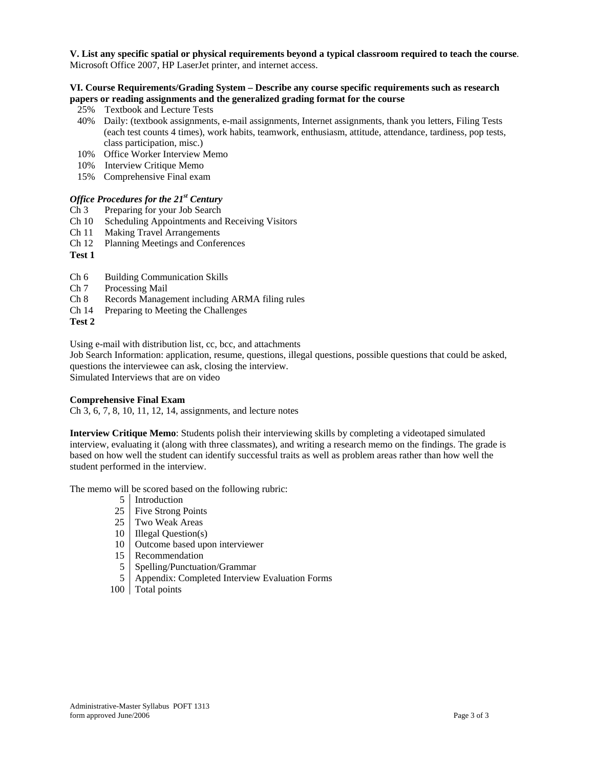**V. List any specific spatial or physical requirements beyond a typical classroom required to teach the course**. Microsoft Office 2007, HP LaserJet printer, and internet access.

## **VI. Course Requirements/Grading System – Describe any course specific requirements such as research papers or reading assignments and the generalized grading format for the course**

- 25% Textbook and Lecture Tests
- 40% Daily: (textbook assignments, e-mail assignments, Internet assignments, thank you letters, Filing Tests (each test counts 4 times), work habits, teamwork, enthusiasm, attitude, attendance, tardiness, pop tests, class participation, misc.)
- 10% Office Worker Interview Memo
- 10% Interview Critique Memo
- 15% Comprehensive Final exam

# *Office Procedures for the 21st Century*

- Ch 3 Preparing for your Job Search
- Ch 10 Scheduling Appointments and Receiving Visitors
- Ch 11 Making Travel Arrangements
- Ch 12 Planning Meetings and Conferences
- **Test 1**
- Ch 6 Building Communication Skills
- Ch 7 Processing Mail
- Ch 8 Records Management including ARMA filing rules
- Ch 14 Preparing to Meeting the Challenges

### **Test 2**

Using e-mail with distribution list, cc, bcc, and attachments

Job Search Information: application, resume, questions, illegal questions, possible questions that could be asked, questions the interviewee can ask, closing the interview.

Simulated Interviews that are on video

### **Comprehensive Final Exam**

Ch 3, 6, 7, 8, 10, 11, 12, 14, assignments, and lecture notes

**Interview Critique Memo**: Students polish their interviewing skills by completing a videotaped simulated interview, evaluating it (along with three classmates), and writing a research memo on the findings. The grade is based on how well the student can identify successful traits as well as problem areas rather than how well the student performed in the interview.

The memo will be scored based on the following rubric:

- 5 Introduction
- 25 Five Strong Points
- 25 Two Weak Areas
- 10 Illegal Question(s)
- 10 Outcome based upon interviewer
- 15 Recommendation
- 5 Spelling/Punctuation/Grammar
- 5 Appendix: Completed Interview Evaluation Forms
- 100 Total points